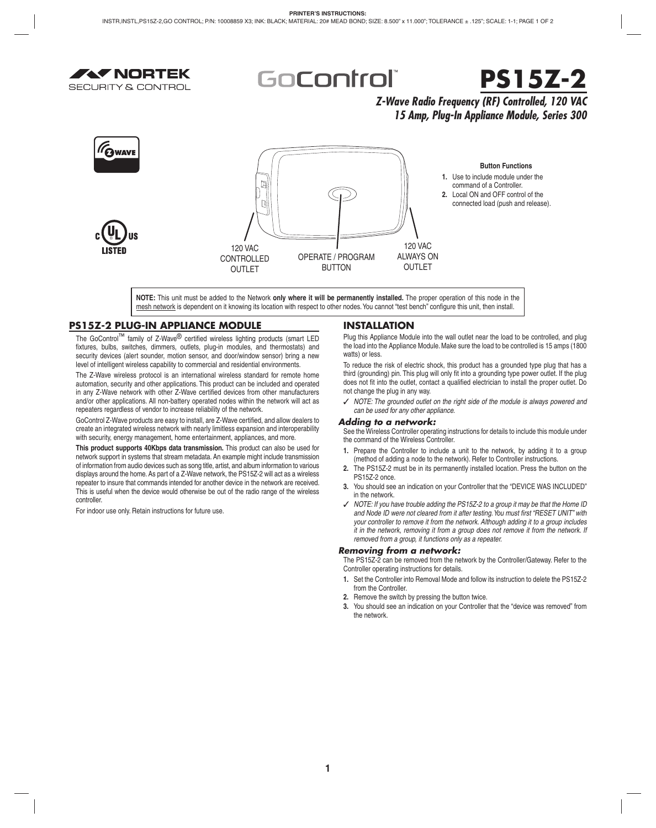

GoControli



# *Z-Wave Radio Frequency (RF) Controlled, 120 VAC 15 Amp, Plug-In Appliance Module, Series 300*



**NOTE:** This unit must be added to the Network **only where it will be permanently installed.** The proper operation of this node in the mesh network is dependent on it knowing its location with respect to other nodes. You cannot "test bench" configure this unit, then install.

# **PS15Z-2 PLUG-IN APPLIANCE MODULE**

The GoControl<sup>™</sup> family of Z-Wave<sup>®</sup> certified wireless lighting products (smart LED fixtures, bulbs, switches, dimmers, outlets, plug-in modules, and thermostats) and security devices (alert sounder, motion sensor, and door/window sensor) bring a new level of intelligent wireless capability to commercial and residential environments.

The Z-Wave wireless protocol is an international wireless standard for remote home automation, security and other applications. This product can be included and operated in any Z-Wave network with other Z-Wave certified devices from other manufacturers and/or other applications. All non-battery operated nodes within the network will act as repeaters regardless of vendor to increase reliability of the network.

GoControl Z-Wave products are easy to install, are Z-Wave certified, and allow dealers to create an integrated wireless network with nearly limitless expansion and interoperability with security, energy management, home entertainment, appliances, and more.

**This product supports 40Kbps data transmission.** This product can also be used for network support in systems that stream metadata. An example might include transmission of information from audio devices such as song title, artist, and album information to various displays around the home. As part of a Z-Wave network, the PS15Z-2 will act as a wireless repeater to insure that commands intended for another device in the network are received. This is useful when the device would otherwise be out of the radio range of the wireless controller.

For indoor use only. Retain instructions for future use.

## **INSTALLATION**

Plug this Appliance Module into the wall outlet near the load to be controlled, and plug the load into the Appliance Module. Make sure the load to be controlled is 15 amps (1800 watts) or less.

To reduce the risk of electric shock, this product has a grounded type plug that has a third (grounding) pin. This plug will only fit into a grounding type power outlet. If the plug does not fit into the outlet, contact a qualified electrician to install the proper outlet. Do not change the plug in any way.

✓ *NOTE: The grounded outlet on the right side of the module is always powered and can be used for any other appliance.*

### *Adding to a network:*

See the Wireless Controller operating instructions for details to include this module under the command of the Wireless Controller.

- **1.** Prepare the Controller to include a unit to the network, by adding it to a group (method of adding a node to the network). Refer to Controller instructions.
- **2.** The PS15Z-2 must be in its permanently installed location. Press the button on the PS15Z-2 once.
- **3.** You should see an indication on your Controller that the "DEVICE WAS INCLUDED" in the network.
- ✓ *NOTE: If you have trouble adding the PS15Z-2 to a group it may be that the Home ID*  and Node ID were not cleared from it after testing. You must first "RESET UNIT" with *your controller to remove it from the network. Although adding it to a group includes it in the network, removing it from a group does not remove it from the network. If removed from a group, it functions only as a repeater.*

### *Removing from a network:*

The PS15Z-2 can be removed from the network by the Controller/Gateway. Refer to the Controller operating instructions for details.

- **1.** Set the Controller into Removal Mode and follow its instruction to delete the PS15Z-2 from the Controller.
- **2.** Remove the switch by pressing the button twice.
- **3.** You should see an indication on your Controller that the "device was removed" from the network.